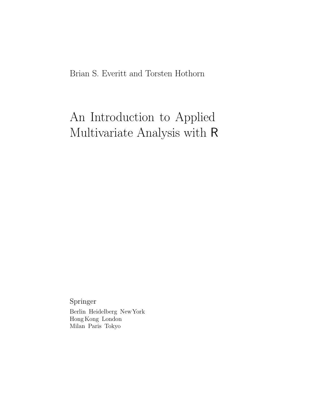Brian S. Everitt and Torsten Hothorn

## An Introduction to Applied Multivariate Analysis with R

Springer Berlin Heidelberg NewYork Hong Kong London Milan Paris Tokyo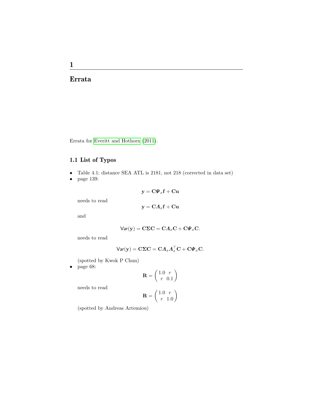## Errata

Errata for [Everitt and Hothorn \(2011\)](#page-4-0).

## 1.1 List of Typos

- Table 4.1: distance SEA ATL is 2181, not 218 (corrected in data set)
- page 139:

$$
y = C\Psi_x f + Cu
$$

$$
y = C A_x f + Cu
$$

and

$$
\text{Var}(\mathbf{y}) = \mathbf{C}\boldsymbol{\Sigma}\mathbf{C} = \mathbf{C}\boldsymbol{\Lambda}_x\mathbf{C} + \mathbf{C}\boldsymbol{\varPsi}_x\mathbf{C}.
$$

needs to read

needs to read

$$
\mathsf{Var}(\mathbf{y}) = \mathbf{C}\mathbf{\Sigma}\mathbf{C} = \mathbf{C}\mathbf{\Lambda}_x\mathbf{\Lambda}_x^\top\mathbf{C} + \mathbf{C}\mathbf{\Psi}_x\mathbf{C}.
$$

(spotted by Kwok P Chun)

• page 68:

$$
\mathbf{R} = \left(\begin{array}{cc} 1.0 & r \\ r & 0.1 \end{array}\right)
$$

needs to read

$$
\mathbf{R} = \left(\begin{array}{cc} 1.0 & r \\ r & 1.0 \end{array}\right)
$$

(spotted by Andreas Artemiou)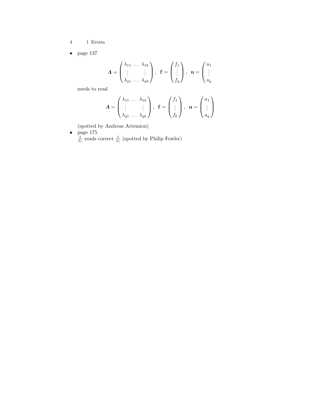- $4\qquad\quad$  1 Errata
- page 137

$$
\boldsymbol{\Lambda} = \begin{pmatrix} \lambda_{11} & \cdots & \lambda_{1k} \\ \vdots & & \vdots \\ \lambda_{q1} & \cdots & \lambda_{qk} \end{pmatrix}, \quad \mathbf{f} = \begin{pmatrix} f_1 \\ \vdots \\ f_q \end{pmatrix}, \quad \mathbf{u} = \begin{pmatrix} u_1 \\ \vdots \\ u_q \end{pmatrix}
$$

needs to read

$$
\boldsymbol{\Lambda} = \begin{pmatrix} \lambda_{11} & \cdots & \lambda_{1k} \\ \vdots & & \vdots \\ \lambda_{q1} & \cdots & \lambda_{qk} \end{pmatrix}, \ \ \mathbf{f} = \begin{pmatrix} f_1 \\ \vdots \\ f_k \end{pmatrix}, \ \ \mathbf{u} = \begin{pmatrix} u_1 \\ \vdots \\ u_q \end{pmatrix}
$$

(spotted by Andreas Artemiou)

• page  $175$  $\frac{1}{n_i}$  reads correct  $\frac{1}{n_i}$  (spotted by Philip Fowler)